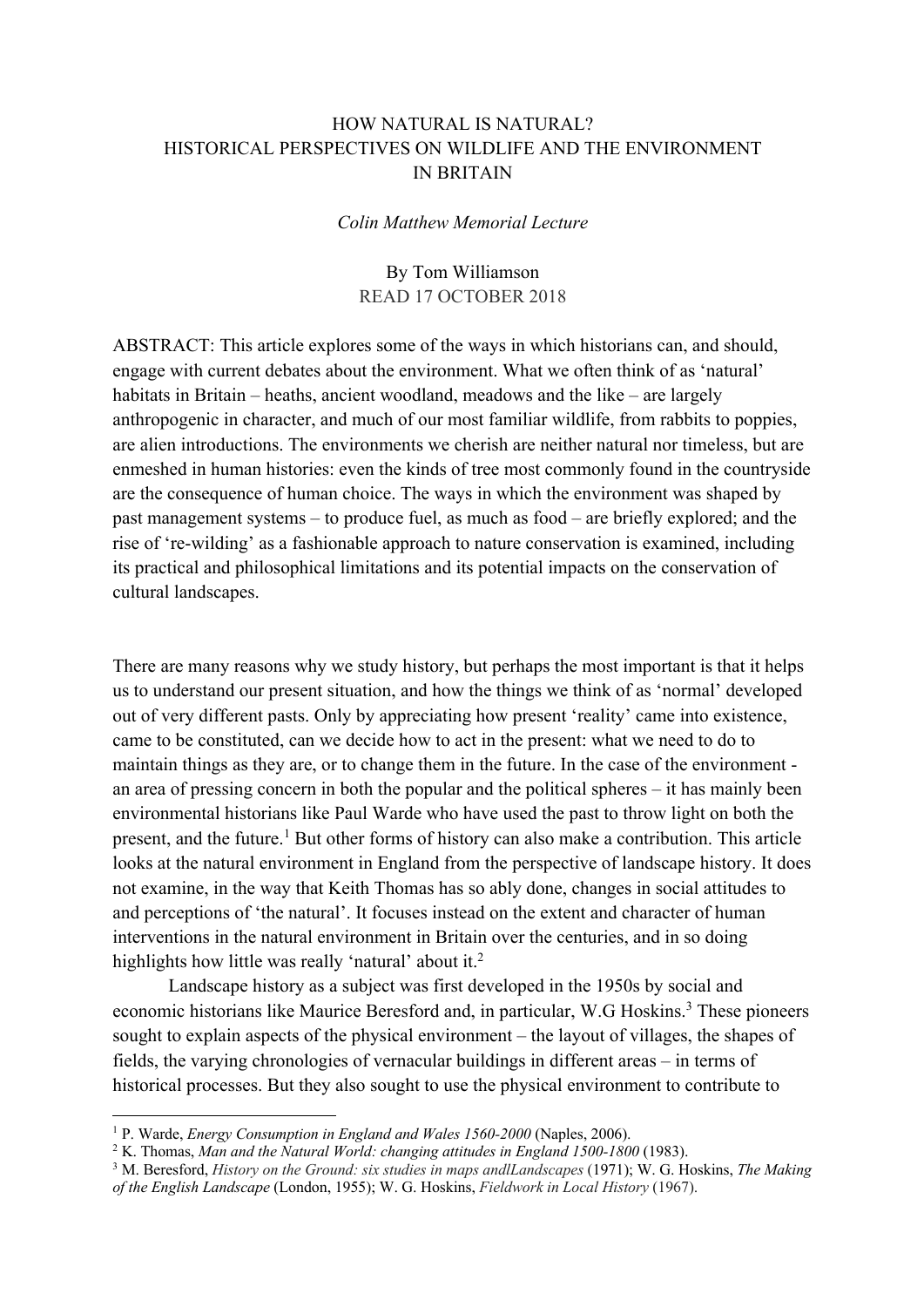## HOW NATURAL IS NATURAL? HISTORICAL PERSPECTIVES ON WILDLIFE AND THE ENVIRONMENT IN BRITAIN

*Colin Matthew Memorial Lecture*

## By Tom Williamson READ 17 OCTOBER 2018

ABSTRACT: This article explores some of the ways in which historians can, and should, engage with current debates about the environment. What we often think of as 'natural' habitats in Britain – heaths, ancient woodland, meadows and the like – are largely anthropogenic in character, and much of our most familiar wildlife, from rabbits to poppies, are alien introductions. The environments we cherish are neither natural nor timeless, but are enmeshed in human histories: even the kinds of tree most commonly found in the countryside are the consequence of human choice. The ways in which the environment was shaped by past management systems – to produce fuel, as much as food – are briefly explored; and the rise of 're-wilding' as a fashionable approach to nature conservation is examined, including its practical and philosophical limitations and its potential impacts on the conservation of cultural landscapes.

There are many reasons why we study history, but perhaps the most important is that it helps us to understand our present situation, and how the things we think of as 'normal' developed out of very different pasts. Only by appreciating how present 'reality' came into existence, came to be constituted, can we decide how to act in the present: what we need to do to maintain things as they are, or to change them in the future. In the case of the environment an area of pressing concern in both the popular and the political spheres – it has mainly been environmental historians like Paul Warde who have used the past to throw light on both the present, and the future.<sup>1</sup> But other forms of history can also make a contribution. This article looks at the natural environment in England from the perspective of landscape history. It does not examine, in the way that Keith Thomas has so ably done, changes in social attitudes to and perceptions of 'the natural'. It focuses instead on the extent and character of human interventions in the natural environment in Britain over the centuries, and in so doing highlights how little was really 'natural' about it.<sup>2</sup>

Landscape history as a subject was first developed in the 1950s by social and economic historians like Maurice Beresford and, in particular, W.G Hoskins.<sup>3</sup> These pioneers sought to explain aspects of the physical environment – the layout of villages, the shapes of fields, the varying chronologies of vernacular buildings in different areas – in terms of historical processes. But they also sought to use the physical environment to contribute to

<sup>&</sup>lt;sup>1</sup> P. Warde, *Energy Consumption in England and Wales 1560-2000* (Naples, 2006).

<sup>2</sup> K. Thomas, *Man and the Natural World: changing attitudes in England 1500-1800* (1983).

<sup>3</sup> M. Beresford, *History on the Ground: six studies in maps andlLandscapes* (1971); W. G. Hoskins, *The Making of the English Landscape* (London, 1955); W. G. Hoskins, *Fieldwork in Local History* (1967).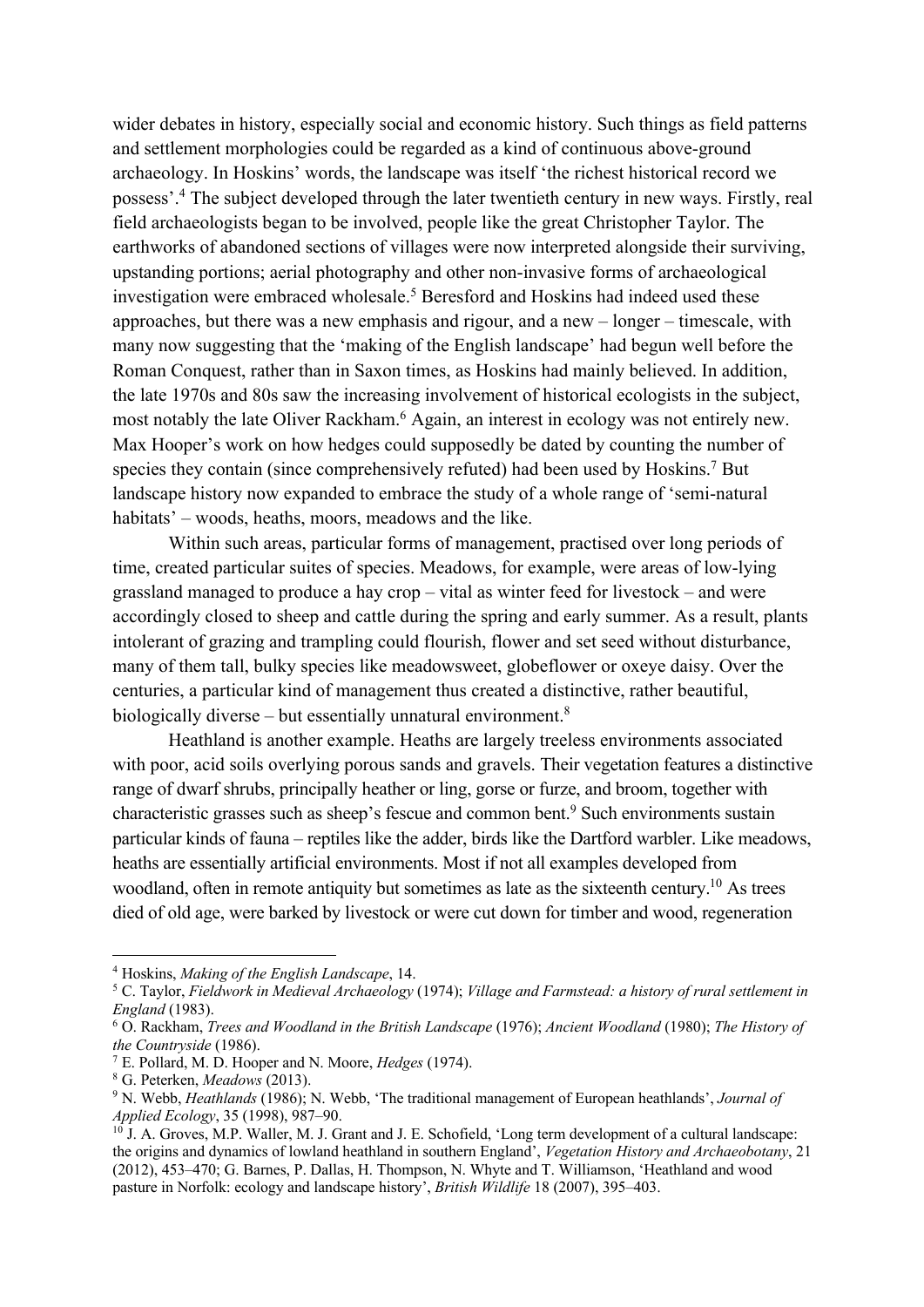wider debates in history, especially social and economic history. Such things as field patterns and settlement morphologies could be regarded as a kind of continuous above-ground archaeology. In Hoskins' words, the landscape was itself 'the richest historical record we possess'.4 The subject developed through the later twentieth century in new ways. Firstly, real field archaeologists began to be involved, people like the great Christopher Taylor. The earthworks of abandoned sections of villages were now interpreted alongside their surviving, upstanding portions; aerial photography and other non-invasive forms of archaeological investigation were embraced wholesale.<sup>5</sup> Beresford and Hoskins had indeed used these approaches, but there was a new emphasis and rigour, and a new – longer – timescale, with many now suggesting that the 'making of the English landscape' had begun well before the Roman Conquest, rather than in Saxon times, as Hoskins had mainly believed. In addition, the late 1970s and 80s saw the increasing involvement of historical ecologists in the subject, most notably the late Oliver Rackham.6 Again, an interest in ecology was not entirely new. Max Hooper's work on how hedges could supposedly be dated by counting the number of species they contain (since comprehensively refuted) had been used by Hoskins.7 But landscape history now expanded to embrace the study of a whole range of 'semi-natural habitats' – woods, heaths, moors, meadows and the like.

Within such areas, particular forms of management, practised over long periods of time, created particular suites of species. Meadows, for example, were areas of low-lying grassland managed to produce a hay crop – vital as winter feed for livestock – and were accordingly closed to sheep and cattle during the spring and early summer. As a result, plants intolerant of grazing and trampling could flourish, flower and set seed without disturbance, many of them tall, bulky species like meadowsweet, globeflower or oxeye daisy. Over the centuries, a particular kind of management thus created a distinctive, rather beautiful, biologically diverse – but essentially unnatural environment.<sup>8</sup>

Heathland is another example. Heaths are largely treeless environments associated with poor, acid soils overlying porous sands and gravels. Their vegetation features a distinctive range of dwarf shrubs, principally heather or ling, gorse or furze, and broom, together with characteristic grasses such as sheep's fescue and common bent.9 Such environments sustain particular kinds of fauna – reptiles like the adder, birds like the Dartford warbler. Like meadows, heaths are essentially artificial environments. Most if not all examples developed from woodland, often in remote antiquity but sometimes as late as the sixteenth century.<sup>10</sup> As trees died of old age, were barked by livestock or were cut down for timber and wood, regeneration

 <sup>4</sup> Hoskins, *Making of the English Landscape*, 14.

<sup>5</sup> C. Taylor, *Fieldwork in Medieval Archaeology* (1974); *Village and Farmstead: a history of rural settlement in England* (1983).

<sup>6</sup> O. Rackham, *Trees and Woodland in the British Landscape* (1976); *Ancient Woodland* (1980); *The History of the Countryside* (1986).

<sup>7</sup> E. Pollard, M. D. Hooper and N. Moore, *Hedges* (1974).

<sup>8</sup> G. Peterken, *Meadows* (2013).

<sup>9</sup> N. Webb, *Heathlands* (1986); N. Webb, 'The traditional management of European heathlands', *Journal of Applied Ecology*, 35 (1998), 987–90.

<sup>&</sup>lt;sup>10</sup> J. A. Groves, M.P. Waller, M. J. Grant and J. E. Schofield, 'Long term development of a cultural landscape: the origins and dynamics of lowland heathland in southern England', *Vegetation History and Archaeobotany*, 21 (2012), 453–470; G. Barnes, P. Dallas, H. Thompson, N. Whyte and T. Williamson, 'Heathland and wood pasture in Norfolk: ecology and landscape history', *British Wildlife* 18 (2007), 395–403.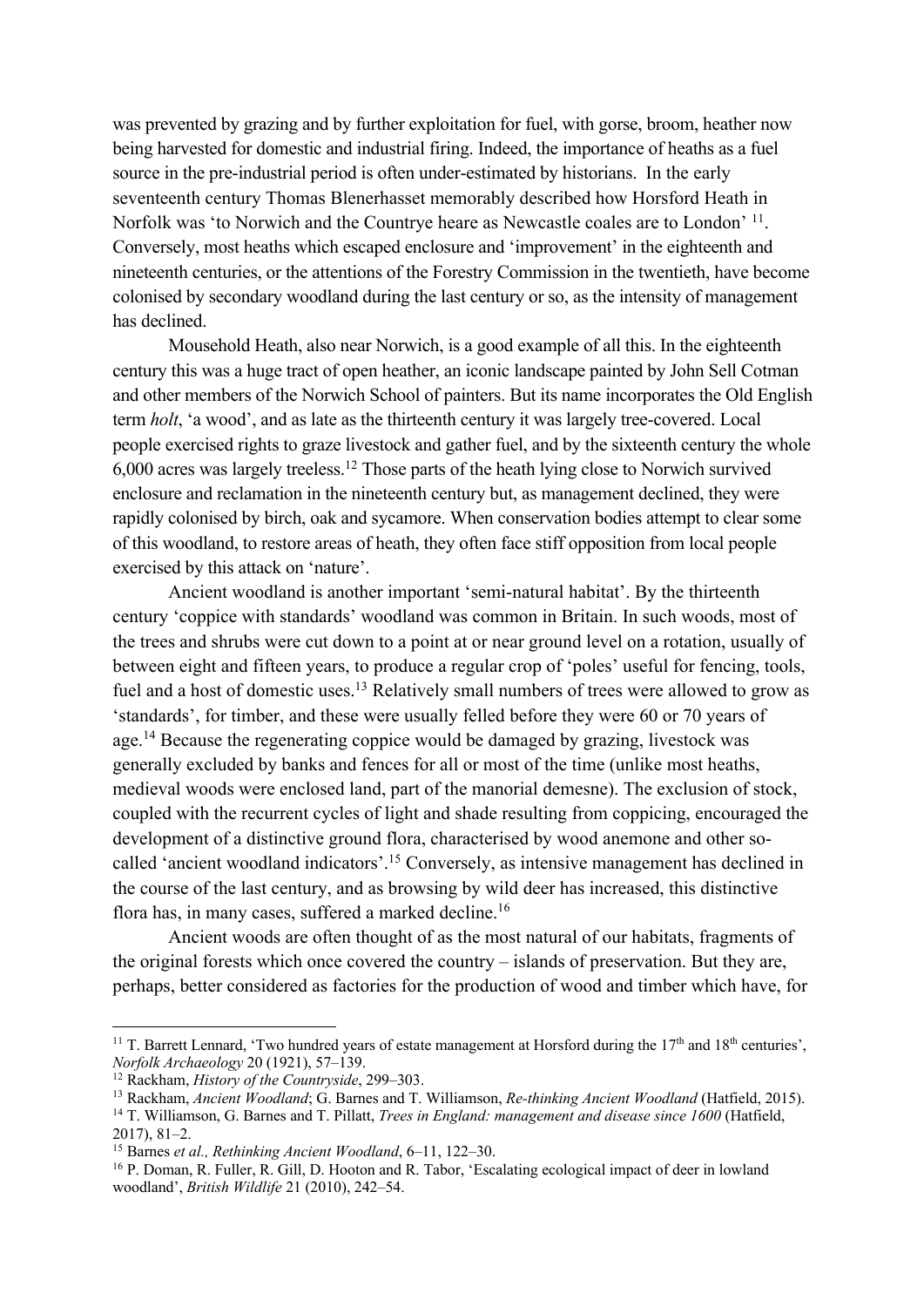was prevented by grazing and by further exploitation for fuel, with gorse, broom, heather now being harvested for domestic and industrial firing. Indeed, the importance of heaths as a fuel source in the pre-industrial period is often under-estimated by historians. In the early seventeenth century Thomas Blenerhasset memorably described how Horsford Heath in Norfolk was 'to Norwich and the Countrye heare as Newcastle coales are to London' 11. Conversely, most heaths which escaped enclosure and 'improvement' in the eighteenth and nineteenth centuries, or the attentions of the Forestry Commission in the twentieth, have become colonised by secondary woodland during the last century or so, as the intensity of management has declined.

Mousehold Heath, also near Norwich, is a good example of all this. In the eighteenth century this was a huge tract of open heather, an iconic landscape painted by John Sell Cotman and other members of the Norwich School of painters. But its name incorporates the Old English term *holt*, 'a wood', and as late as the thirteenth century it was largely tree-covered. Local people exercised rights to graze livestock and gather fuel, and by the sixteenth century the whole  $6,000$  acres was largely treeless.<sup>12</sup> Those parts of the heath lying close to Norwich survived enclosure and reclamation in the nineteenth century but, as management declined, they were rapidly colonised by birch, oak and sycamore. When conservation bodies attempt to clear some of this woodland, to restore areas of heath, they often face stiff opposition from local people exercised by this attack on 'nature'.

Ancient woodland is another important 'semi-natural habitat'. By the thirteenth century 'coppice with standards' woodland was common in Britain. In such woods, most of the trees and shrubs were cut down to a point at or near ground level on a rotation, usually of between eight and fifteen years, to produce a regular crop of 'poles' useful for fencing, tools, fuel and a host of domestic uses.<sup>13</sup> Relatively small numbers of trees were allowed to grow as 'standards', for timber, and these were usually felled before they were 60 or 70 years of age.<sup>14</sup> Because the regenerating coppice would be damaged by grazing, livestock was generally excluded by banks and fences for all or most of the time (unlike most heaths, medieval woods were enclosed land, part of the manorial demesne). The exclusion of stock, coupled with the recurrent cycles of light and shade resulting from coppicing, encouraged the development of a distinctive ground flora, characterised by wood anemone and other socalled 'ancient woodland indicators'.15 Conversely, as intensive management has declined in the course of the last century, and as browsing by wild deer has increased, this distinctive flora has, in many cases, suffered a marked decline.16

Ancient woods are often thought of as the most natural of our habitats, fragments of the original forests which once covered the country – islands of preservation. But they are, perhaps, better considered as factories for the production of wood and timber which have, for

<sup>&</sup>lt;sup>11</sup> T. Barrett Lennard, 'Two hundred years of estate management at Horsford during the  $17<sup>th</sup>$  and  $18<sup>th</sup>$  centuries', *Norfolk Archaeology* 20 (1921), 57–139.

<sup>12</sup> Rackham, *History of the Countryside*, 299–303.

<sup>13</sup> Rackham, *Ancient Woodland*; G. Barnes and T. Williamson, *Re-thinking Ancient Woodland* (Hatfield, 2015).

<sup>14</sup> T. Williamson, G. Barnes and T. Pillatt, *Trees in England: management and disease since 1600* (Hatfield, 2017), 81–2.

<sup>15</sup> Barnes *et al., Rethinking Ancient Woodland*, 6–11, 122–30.

<sup>&</sup>lt;sup>16</sup> P. Doman, R. Fuller, R. Gill, D. Hooton and R. Tabor, 'Escalating ecological impact of deer in lowland woodland', *British Wildlife* 21 (2010), 242–54.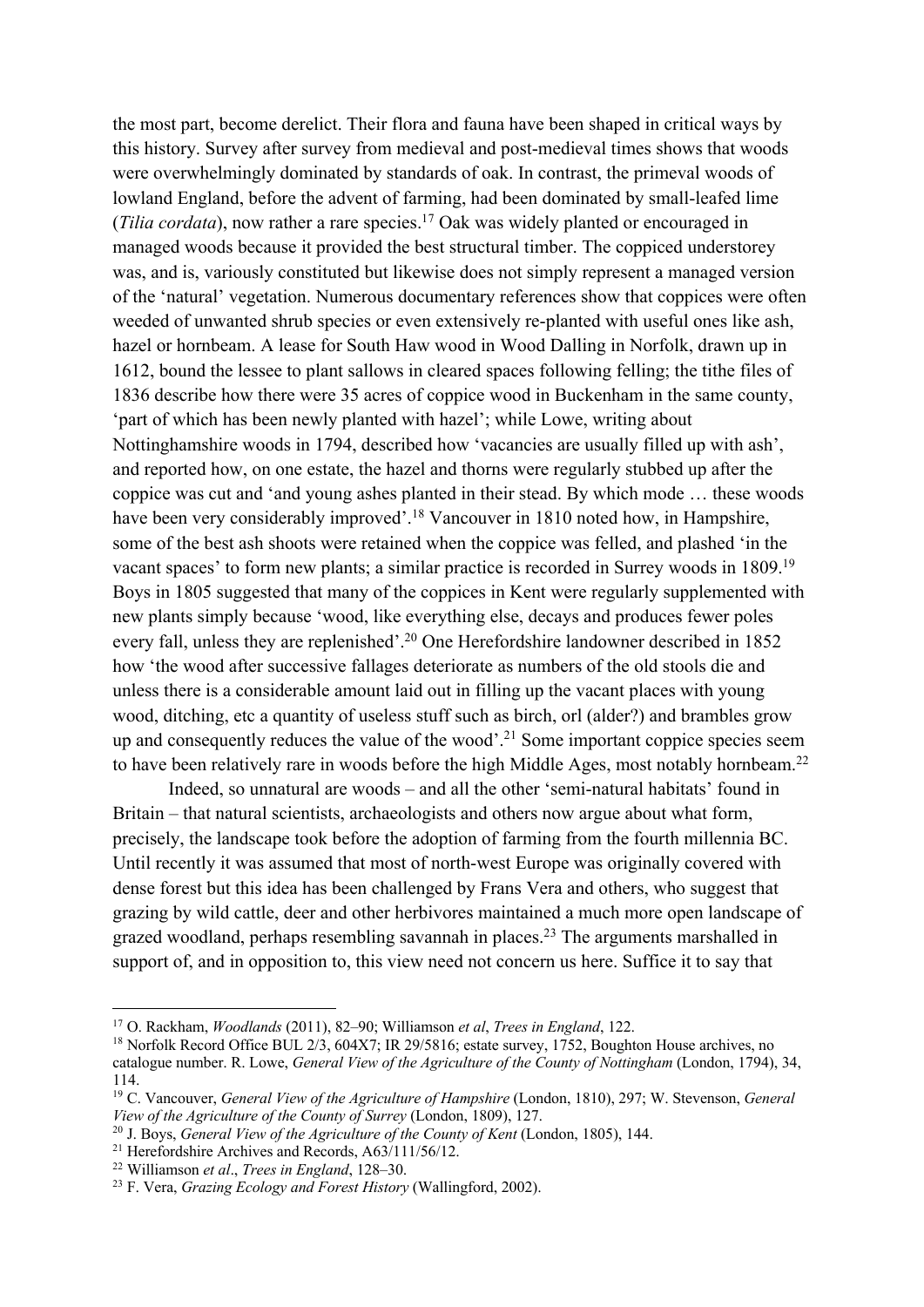the most part, become derelict. Their flora and fauna have been shaped in critical ways by this history. Survey after survey from medieval and post-medieval times shows that woods were overwhelmingly dominated by standards of oak. In contrast, the primeval woods of lowland England, before the advent of farming, had been dominated by small-leafed lime (*Tilia cordata*), now rather a rare species.17 Oak was widely planted or encouraged in managed woods because it provided the best structural timber. The coppiced understorey was, and is, variously constituted but likewise does not simply represent a managed version of the 'natural' vegetation. Numerous documentary references show that coppices were often weeded of unwanted shrub species or even extensively re-planted with useful ones like ash, hazel or hornbeam. A lease for South Haw wood in Wood Dalling in Norfolk, drawn up in 1612, bound the lessee to plant sallows in cleared spaces following felling; the tithe files of 1836 describe how there were 35 acres of coppice wood in Buckenham in the same county, 'part of which has been newly planted with hazel'; while Lowe, writing about Nottinghamshire woods in 1794, described how 'vacancies are usually filled up with ash', and reported how, on one estate, the hazel and thorns were regularly stubbed up after the coppice was cut and 'and young ashes planted in their stead. By which mode … these woods have been very considerably improved'.<sup>18</sup> Vancouver in 1810 noted how, in Hampshire, some of the best ash shoots were retained when the coppice was felled, and plashed 'in the vacant spaces' to form new plants; a similar practice is recorded in Surrey woods in 1809.19 Boys in 1805 suggested that many of the coppices in Kent were regularly supplemented with new plants simply because 'wood, like everything else, decays and produces fewer poles every fall, unless they are replenished'.<sup>20</sup> One Herefordshire landowner described in 1852 how 'the wood after successive fallages deteriorate as numbers of the old stools die and unless there is a considerable amount laid out in filling up the vacant places with young wood, ditching, etc a quantity of useless stuff such as birch, orl (alder?) and brambles grow up and consequently reduces the value of the wood'.<sup>21</sup> Some important coppice species seem to have been relatively rare in woods before the high Middle Ages, most notably hornbeam.<sup>22</sup>

Indeed, so unnatural are woods – and all the other 'semi-natural habitats' found in Britain – that natural scientists, archaeologists and others now argue about what form, precisely, the landscape took before the adoption of farming from the fourth millennia BC. Until recently it was assumed that most of north-west Europe was originally covered with dense forest but this idea has been challenged by Frans Vera and others, who suggest that grazing by wild cattle, deer and other herbivores maintained a much more open landscape of grazed woodland, perhaps resembling savannah in places.<sup>23</sup> The arguments marshalled in support of, and in opposition to, this view need not concern us here. Suffice it to say that

 <sup>17</sup> O. Rackham, *Woodlands* (2011), 82–90; Williamson *et al*, *Trees in England*, 122.

<sup>&</sup>lt;sup>18</sup> Norfolk Record Office BUL 2/3, 604X7; IR 29/5816; estate survey, 1752, Boughton House archives, no catalogue number. R. Lowe, *General View of the Agriculture of the County of Nottingham* (London, 1794), 34, 114.

<sup>&</sup>lt;sup>19</sup> C. Vancouver, *General View of the Agriculture of Hampshire* (London, 1810), 297; W. Stevenson, *General View of the Agriculture of the County of Surrey* (London, 1809), 127.

<sup>&</sup>lt;sup>20</sup> J. Boys, *General View of the Agriculture of the County of Kent* (London, 1805), 144.

<sup>&</sup>lt;sup>21</sup> Herefordshire Archives and Records, A63/111/56/12.

<sup>22</sup> Williamson *et al*., *Trees in England*, 128–30.

<sup>23</sup> F. Vera, *Grazing Ecology and Forest History* (Wallingford, 2002).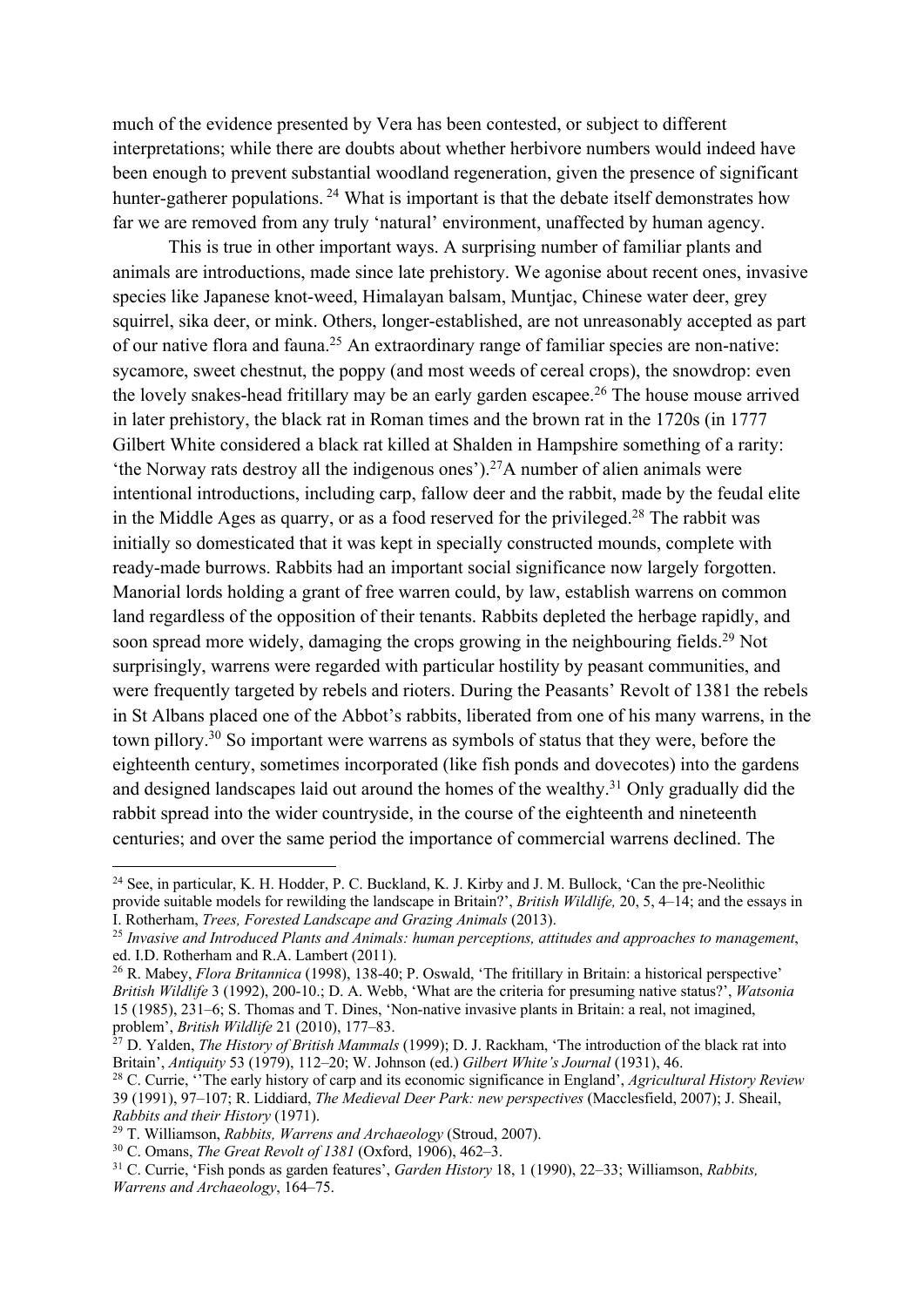much of the evidence presented by Vera has been contested, or subject to different interpretations; while there are doubts about whether herbivore numbers would indeed have been enough to prevent substantial woodland regeneration, given the presence of significant hunter-gatherer populations.<sup>24</sup> What is important is that the debate itself demonstrates how far we are removed from any truly 'natural' environment, unaffected by human agency.

This is true in other important ways. A surprising number of familiar plants and animals are introductions, made since late prehistory. We agonise about recent ones, invasive species like Japanese knot-weed, Himalayan balsam, Muntjac, Chinese water deer, grey squirrel, sika deer, or mink. Others, longer-established, are not unreasonably accepted as part of our native flora and fauna.25 An extraordinary range of familiar species are non-native: sycamore, sweet chestnut, the poppy (and most weeds of cereal crops), the snowdrop: even the lovely snakes-head fritillary may be an early garden escapee.<sup>26</sup> The house mouse arrived in later prehistory, the black rat in Roman times and the brown rat in the 1720s (in 1777 Gilbert White considered a black rat killed at Shalden in Hampshire something of a rarity: 'the Norway rats destroy all the indigenous ones').<sup>27</sup>A number of alien animals were intentional introductions, including carp, fallow deer and the rabbit, made by the feudal elite in the Middle Ages as quarry, or as a food reserved for the privileged.<sup>28</sup> The rabbit was initially so domesticated that it was kept in specially constructed mounds, complete with ready-made burrows. Rabbits had an important social significance now largely forgotten. Manorial lords holding a grant of free warren could, by law, establish warrens on common land regardless of the opposition of their tenants. Rabbits depleted the herbage rapidly, and soon spread more widely, damaging the crops growing in the neighbouring fields.<sup>29</sup> Not surprisingly, warrens were regarded with particular hostility by peasant communities, and were frequently targeted by rebels and rioters. During the Peasants' Revolt of 1381 the rebels in St Albans placed one of the Abbot's rabbits, liberated from one of his many warrens, in the town pillory.30 So important were warrens as symbols of status that they were, before the eighteenth century, sometimes incorporated (like fish ponds and dovecotes) into the gardens and designed landscapes laid out around the homes of the wealthy.<sup>31</sup> Only gradually did the rabbit spread into the wider countryside, in the course of the eighteenth and nineteenth centuries; and over the same period the importance of commercial warrens declined. The

<sup>&</sup>lt;sup>24</sup> See, in particular, K. H. Hodder, P. C. Buckland, K. J. Kirby and J. M. Bullock, 'Can the pre-Neolithic provide suitable models for rewilding the landscape in Britain?', *British Wildlife,* 20, 5, 4–14; and the essays in I. Rotherham, *Trees, Forested Landscape and Grazing Animals* (2013).

<sup>25</sup> *Invasive and Introduced Plants and Animals: human perceptions, attitudes and approaches to management*, ed. I.D. Rotherham and R.A. Lambert (2011).

<sup>&</sup>lt;sup>26</sup> R. Mabey, *Flora Britannica* (1998), 138-40; P. Oswald, 'The fritillary in Britain: a historical perspective' *British Wildlife* 3 (1992), 200-10.; D. A. Webb, 'What are the criteria for presuming native status?', *Watsonia*  15 (1985), 231–6; S. Thomas and T. Dines, 'Non-native invasive plants in Britain: a real, not imagined,

<sup>&</sup>lt;sup>27</sup> D. Yalden, *The History of British Mammals* (1999); D. J. Rackham, 'The introduction of the black rat into Britain', *Antiquity* 53 (1979), 112–20; W. Johnson (ed.) *Gilbert White's Journal* (1931), 46.

<sup>28</sup> C. Currie, ''The early history of carp and its economic significance in England', *Agricultural History Review*  39 (1991), 97–107; R. Liddiard, *The Medieval Deer Park: new perspectives* (Macclesfield, 2007); J. Sheail, *Rabbits and their History* (1971).

<sup>&</sup>lt;sup>29</sup> T. Williamson, *Rabbits, Warrens and Archaeology* (Stroud, 2007).<br><sup>30</sup> C. Omans, *The Great Revolt of 1381* (Oxford, 1906), 462–3.

<sup>&</sup>lt;sup>31</sup> C. Currie, 'Fish ponds as garden features', *Garden History* 18, 1 (1990), 22–33; Williamson, *Rabbits*, *Warrens and Archaeology*, 164–75.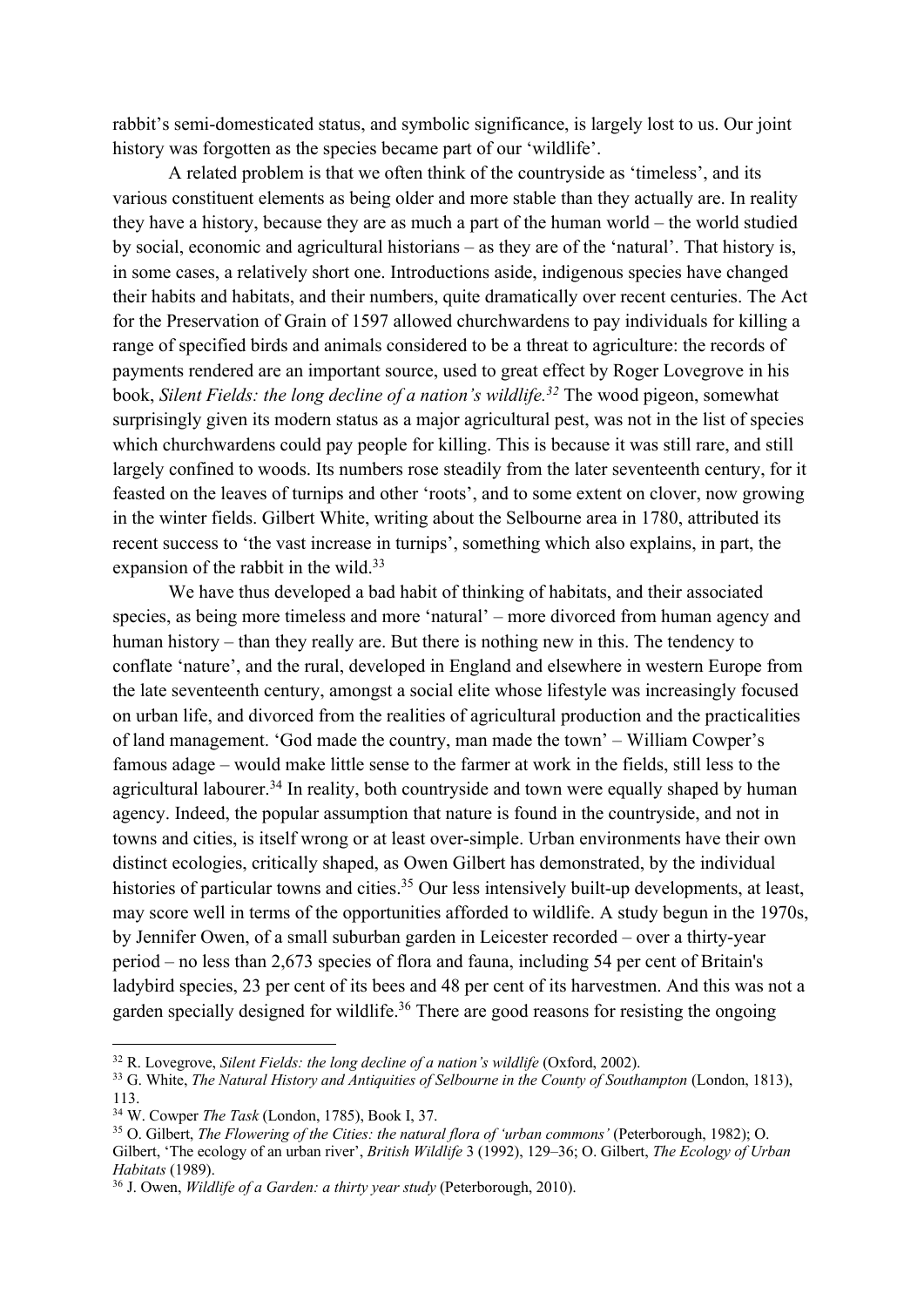rabbit's semi-domesticated status, and symbolic significance, is largely lost to us. Our joint history was forgotten as the species became part of our 'wildlife'.

A related problem is that we often think of the countryside as 'timeless', and its various constituent elements as being older and more stable than they actually are. In reality they have a history, because they are as much a part of the human world – the world studied by social, economic and agricultural historians – as they are of the 'natural'. That history is, in some cases, a relatively short one. Introductions aside, indigenous species have changed their habits and habitats, and their numbers, quite dramatically over recent centuries. The Act for the Preservation of Grain of 1597 allowed churchwardens to pay individuals for killing a range of specified birds and animals considered to be a threat to agriculture: the records of payments rendered are an important source, used to great effect by Roger Lovegrove in his book, *Silent Fields: the long decline of a nation's wildlife.32* The wood pigeon, somewhat surprisingly given its modern status as a major agricultural pest, was not in the list of species which churchwardens could pay people for killing. This is because it was still rare, and still largely confined to woods. Its numbers rose steadily from the later seventeenth century, for it feasted on the leaves of turnips and other 'roots', and to some extent on clover, now growing in the winter fields. Gilbert White, writing about the Selbourne area in 1780, attributed its recent success to 'the vast increase in turnips', something which also explains, in part, the expansion of the rabbit in the wild.<sup>33</sup>

We have thus developed a bad habit of thinking of habitats, and their associated species, as being more timeless and more 'natural' – more divorced from human agency and human history – than they really are. But there is nothing new in this. The tendency to conflate 'nature', and the rural, developed in England and elsewhere in western Europe from the late seventeenth century, amongst a social elite whose lifestyle was increasingly focused on urban life, and divorced from the realities of agricultural production and the practicalities of land management. 'God made the country, man made the town' – William Cowper's famous adage – would make little sense to the farmer at work in the fields, still less to the agricultural labourer.<sup>34</sup> In reality, both countryside and town were equally shaped by human agency. Indeed, the popular assumption that nature is found in the countryside, and not in towns and cities, is itself wrong or at least over-simple. Urban environments have their own distinct ecologies, critically shaped, as Owen Gilbert has demonstrated, by the individual histories of particular towns and cities.<sup>35</sup> Our less intensively built-up developments, at least, may score well in terms of the opportunities afforded to wildlife. A study begun in the 1970s, by Jennifer Owen, of a small suburban garden in Leicester recorded – over a thirty-year period – no less than 2,673 species of flora and fauna, including 54 per cent of Britain's ladybird species, 23 per cent of its bees and 48 per cent of its harvestmen. And this was not a garden specially designed for wildlife.<sup>36</sup> There are good reasons for resisting the ongoing

<sup>&</sup>lt;sup>32</sup> R. Lovegrove, *Silent Fields: the long decline of a nation's wildlife* (Oxford, 2002).

<sup>&</sup>lt;sup>33</sup> G. White, *The Natural History and Antiquities of Selbourne in the County of Southampton* (London, 1813),

<sup>113.</sup>

<sup>34</sup> W. Cowper *The Task* (London, 1785), Book I, 37.

<sup>&</sup>lt;sup>35</sup> O. Gilbert, *The Flowering of the Cities: the natural flora of 'urban commons'* (Peterborough, 1982); O.

Gilbert, 'The ecology of an urban river', *British Wildlife* 3 (1992), 129–36; O. Gilbert, *The Ecology of Urban Habitats* (1989).

<sup>36</sup> J. Owen, *Wildlife of a Garden: a thirty year study* (Peterborough, 2010).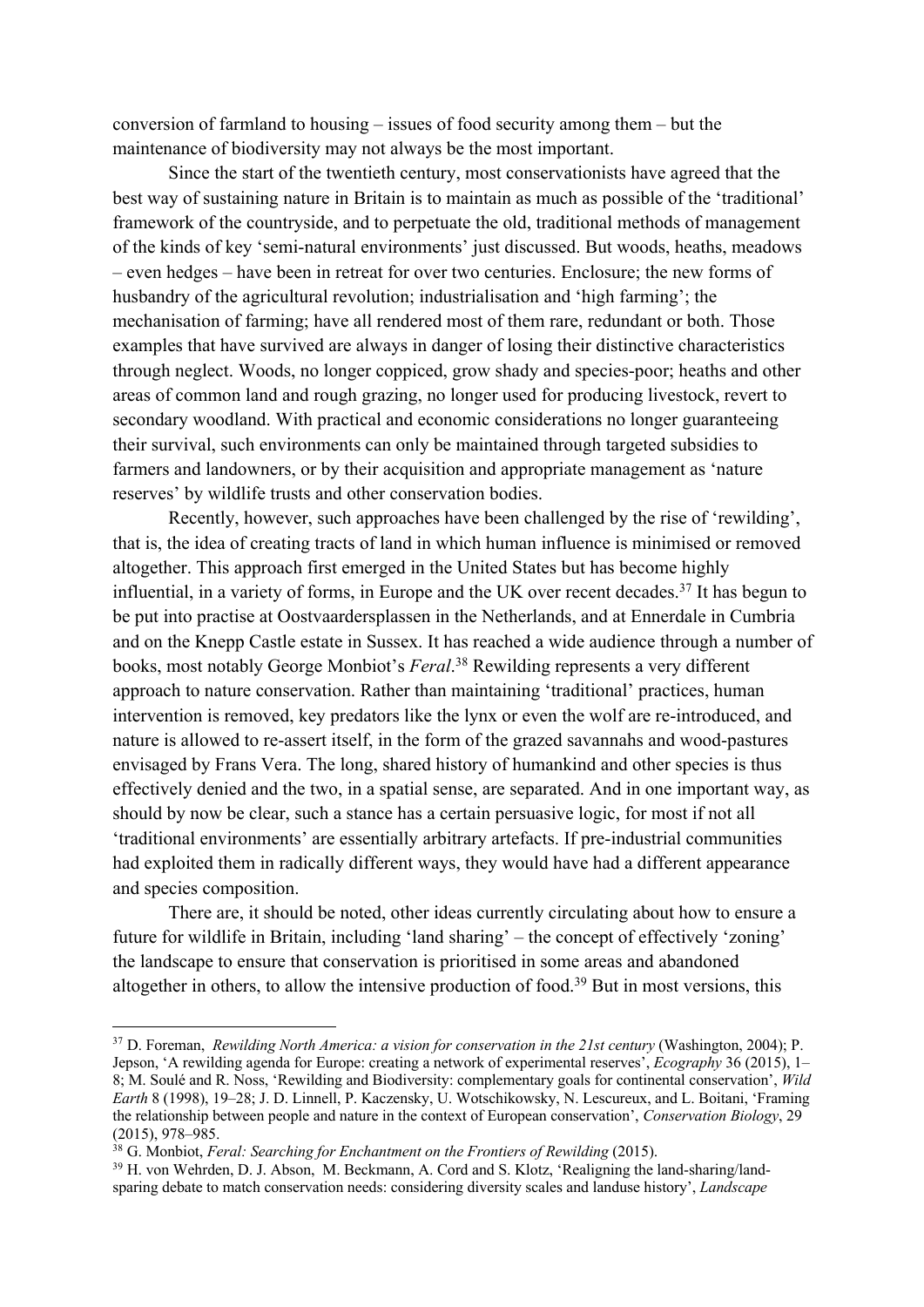conversion of farmland to housing – issues of food security among them – but the maintenance of biodiversity may not always be the most important.

Since the start of the twentieth century, most conservationists have agreed that the best way of sustaining nature in Britain is to maintain as much as possible of the 'traditional' framework of the countryside, and to perpetuate the old, traditional methods of management of the kinds of key 'semi-natural environments' just discussed. But woods, heaths, meadows – even hedges – have been in retreat for over two centuries. Enclosure; the new forms of husbandry of the agricultural revolution; industrialisation and 'high farming'; the mechanisation of farming; have all rendered most of them rare, redundant or both. Those examples that have survived are always in danger of losing their distinctive characteristics through neglect. Woods, no longer coppiced, grow shady and species-poor; heaths and other areas of common land and rough grazing, no longer used for producing livestock, revert to secondary woodland. With practical and economic considerations no longer guaranteeing their survival, such environments can only be maintained through targeted subsidies to farmers and landowners, or by their acquisition and appropriate management as 'nature reserves' by wildlife trusts and other conservation bodies.

Recently, however, such approaches have been challenged by the rise of 'rewilding', that is, the idea of creating tracts of land in which human influence is minimised or removed altogether. This approach first emerged in the United States but has become highly influential, in a variety of forms, in Europe and the UK over recent decades.<sup>37</sup> It has begun to be put into practise at Oostvaardersplassen in the Netherlands, and at Ennerdale in Cumbria and on the Knepp Castle estate in Sussex. It has reached a wide audience through a number of books, most notably George Monbiot's *Feral*. <sup>38</sup> Rewilding represents a very different approach to nature conservation. Rather than maintaining 'traditional' practices, human intervention is removed, key predators like the lynx or even the wolf are re-introduced, and nature is allowed to re-assert itself, in the form of the grazed savannahs and wood-pastures envisaged by Frans Vera. The long, shared history of humankind and other species is thus effectively denied and the two, in a spatial sense, are separated. And in one important way, as should by now be clear, such a stance has a certain persuasive logic, for most if not all 'traditional environments' are essentially arbitrary artefacts. If pre-industrial communities had exploited them in radically different ways, they would have had a different appearance and species composition.

There are, it should be noted, other ideas currently circulating about how to ensure a future for wildlife in Britain, including 'land sharing' – the concept of effectively 'zoning' the landscape to ensure that conservation is prioritised in some areas and abandoned altogether in others, to allow the intensive production of food.39 But in most versions, this

<sup>&</sup>lt;sup>37</sup> D. Foreman, *Rewilding North America: a vision for conservation in the 21st century* (Washington, 2004); P. Jepson, 'A rewilding agenda for Europe: creating a network of experimental reserves', *Ecography* 36 (2015), 1– 8; M. Soulé and R. Noss, 'Rewilding and Biodiversity: complementary goals for continental conservation', *Wild Earth* 8 (1998), 19–28; J. D. Linnell, P. Kaczensky, U. Wotschikowsky, N. Lescureux, and L. Boitani, 'Framing the relationship between people and nature in the context of European conservation', *Conservation Biology*, 29 (2015), 978–985.

<sup>&</sup>lt;sup>38</sup> G. Monbiot, *Feral: Searching for Enchantment on the Frontiers of Rewilding (2015).* 

<sup>&</sup>lt;sup>39</sup> H. von Wehrden, D. J. Abson, M. Beckmann, A. Cord and S. Klotz, 'Realigning the land-sharing/landsparing debate to match conservation needs: considering diversity scales and landuse history', *Landscape*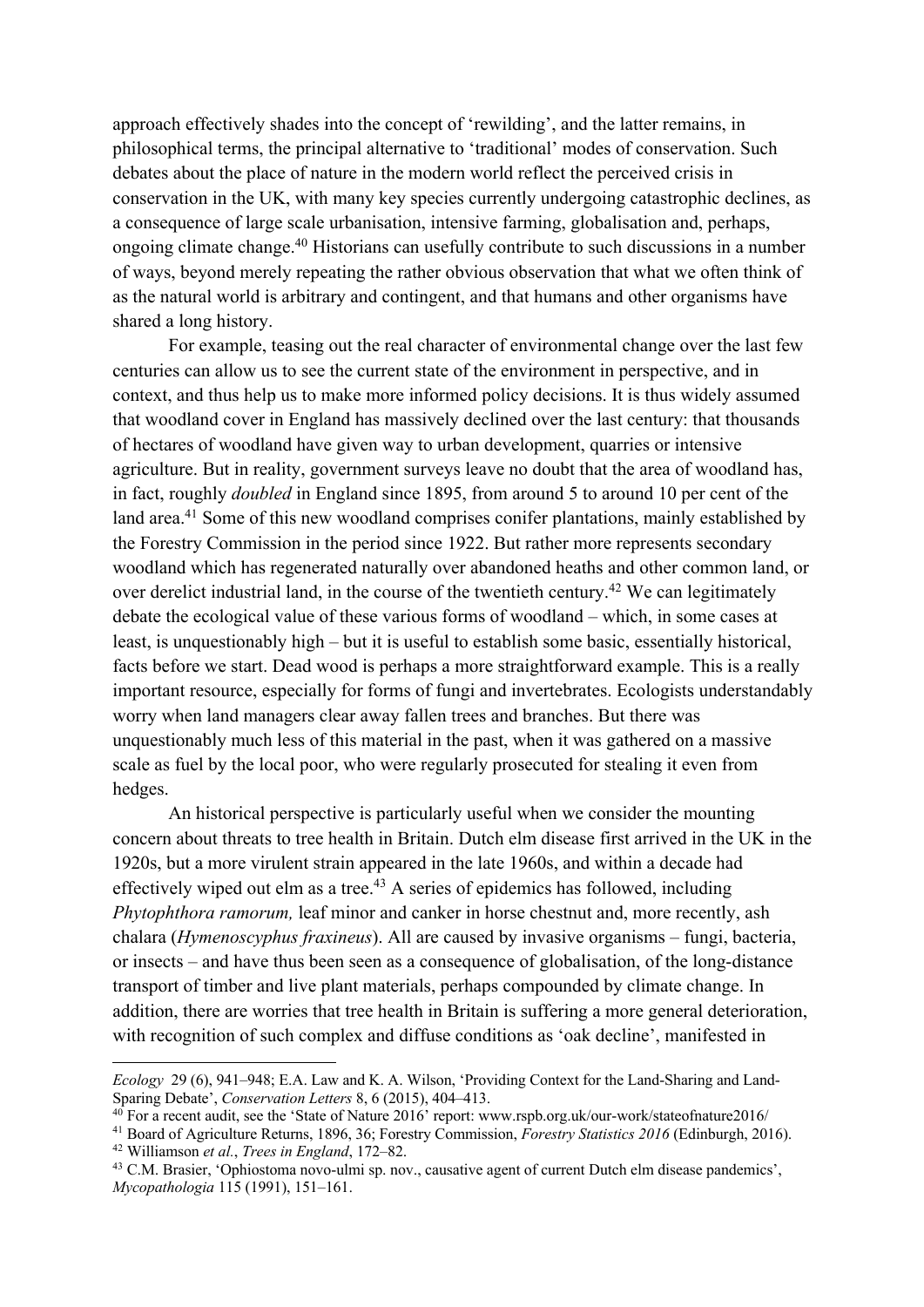approach effectively shades into the concept of 'rewilding', and the latter remains, in philosophical terms, the principal alternative to 'traditional' modes of conservation. Such debates about the place of nature in the modern world reflect the perceived crisis in conservation in the UK, with many key species currently undergoing catastrophic declines, as a consequence of large scale urbanisation, intensive farming, globalisation and, perhaps, ongoing climate change.40 Historians can usefully contribute to such discussions in a number of ways, beyond merely repeating the rather obvious observation that what we often think of as the natural world is arbitrary and contingent, and that humans and other organisms have shared a long history.

For example, teasing out the real character of environmental change over the last few centuries can allow us to see the current state of the environment in perspective, and in context, and thus help us to make more informed policy decisions. It is thus widely assumed that woodland cover in England has massively declined over the last century: that thousands of hectares of woodland have given way to urban development, quarries or intensive agriculture. But in reality, government surveys leave no doubt that the area of woodland has, in fact, roughly *doubled* in England since 1895, from around 5 to around 10 per cent of the land area.<sup>41</sup> Some of this new woodland comprises conifer plantations, mainly established by the Forestry Commission in the period since 1922. But rather more represents secondary woodland which has regenerated naturally over abandoned heaths and other common land, or over derelict industrial land, in the course of the twentieth century.<sup>42</sup> We can legitimately debate the ecological value of these various forms of woodland – which, in some cases at least, is unquestionably high – but it is useful to establish some basic, essentially historical, facts before we start. Dead wood is perhaps a more straightforward example. This is a really important resource, especially for forms of fungi and invertebrates. Ecologists understandably worry when land managers clear away fallen trees and branches. But there was unquestionably much less of this material in the past, when it was gathered on a massive scale as fuel by the local poor, who were regularly prosecuted for stealing it even from hedges.

An historical perspective is particularly useful when we consider the mounting concern about threats to tree health in Britain. Dutch elm disease first arrived in the UK in the 1920s, but a more virulent strain appeared in the late 1960s, and within a decade had effectively wiped out elm as a tree.<sup>43</sup> A series of epidemics has followed, including *Phytophthora ramorum,* leaf minor and canker in horse chestnut and, more recently, ash chalara (*Hymenoscyphus fraxineus*). All are caused by invasive organisms – fungi, bacteria, or insects – and have thus been seen as a consequence of globalisation, of the long-distance transport of timber and live plant materials, perhaps compounded by climate change. In addition, there are worries that tree health in Britain is suffering a more general deterioration, with recognition of such complex and diffuse conditions as 'oak decline', manifested in

 $\overline{a}$ 

*Ecology* 29 (6), 941–948; E.A. Law and K. A. Wilson, 'Providing Context for the Land-Sharing and Land-Sparing Debate', *Conservation Letters* 8, 6 (2015), 404–413.<br><sup>40</sup> For a recent audit, see the 'State of Nature 2016' report: www.rspb.org.uk/our-work/stateofnature2016/

<sup>&</sup>lt;sup>41</sup> Board of Agriculture Returns, 1896, 36; Forestry Commission, Forestry Statistics 2016 (Edinburgh, 2016).<br><sup>42</sup> Williamson et al., Trees in England, 172–82.

<sup>43</sup> C.M. Brasier, 'Ophiostoma novo-ulmi sp. nov., causative agent of current Dutch elm disease pandemics', *Mycopathologia* 115 (1991), 151–161.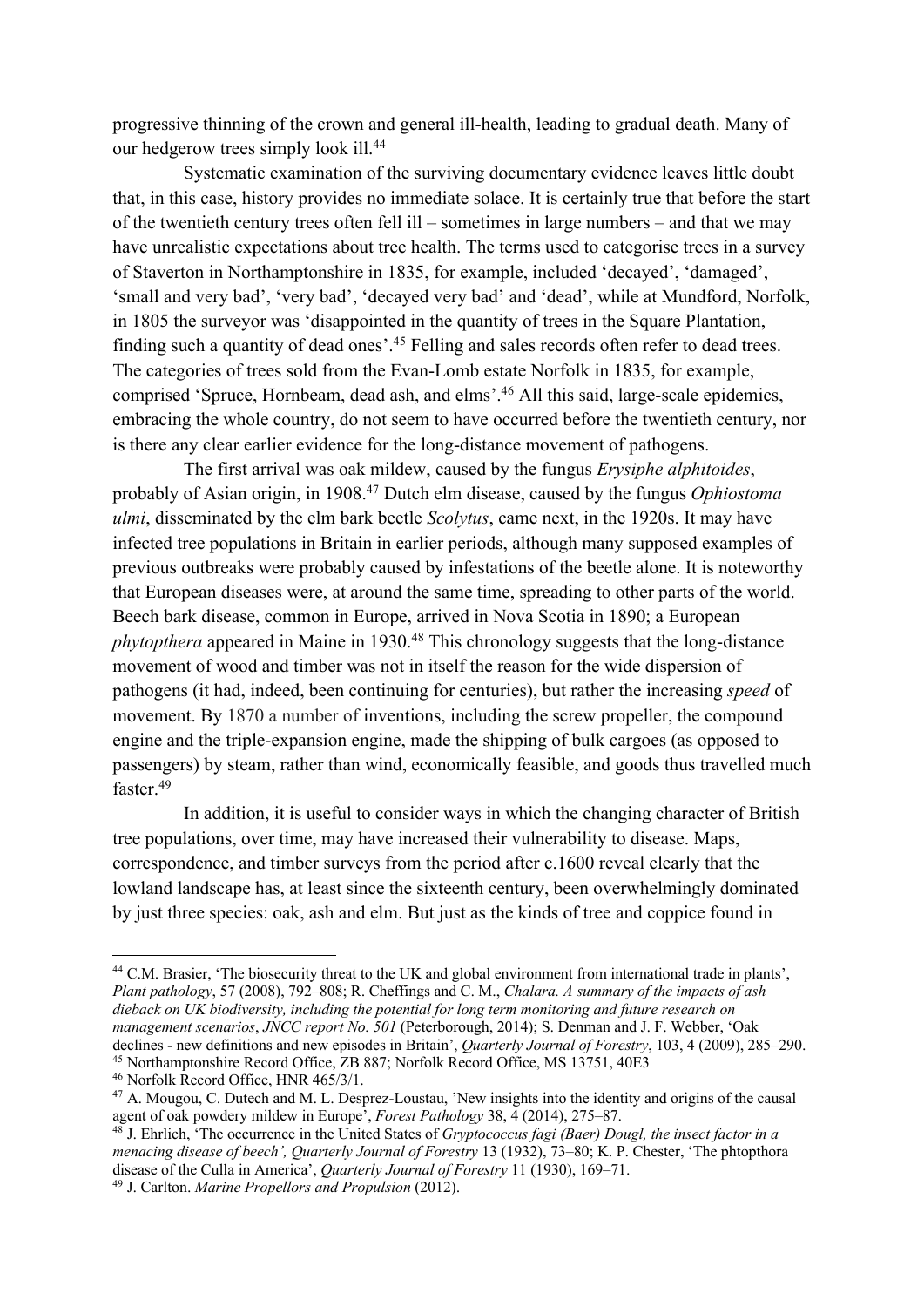progressive thinning of the crown and general ill-health, leading to gradual death. Many of our hedgerow trees simply look ill.<sup>44</sup>

Systematic examination of the surviving documentary evidence leaves little doubt that, in this case, history provides no immediate solace. It is certainly true that before the start of the twentieth century trees often fell ill – sometimes in large numbers – and that we may have unrealistic expectations about tree health. The terms used to categorise trees in a survey of Staverton in Northamptonshire in 1835, for example, included 'decayed', 'damaged', 'small and very bad', 'very bad', 'decayed very bad' and 'dead', while at Mundford, Norfolk, in 1805 the surveyor was 'disappointed in the quantity of trees in the Square Plantation, finding such a quantity of dead ones'.<sup>45</sup> Felling and sales records often refer to dead trees. The categories of trees sold from the Evan-Lomb estate Norfolk in 1835, for example, comprised 'Spruce, Hornbeam, dead ash, and elms'. <sup>46</sup> All this said, large-scale epidemics, embracing the whole country, do not seem to have occurred before the twentieth century, nor is there any clear earlier evidence for the long-distance movement of pathogens.

The first arrival was oak mildew, caused by the fungus *Erysiphe alphitoides*, probably of Asian origin, in 1908.47 Dutch elm disease, caused by the fungus *Ophiostoma ulmi*, disseminated by the elm bark beetle *Scolytus*, came next, in the 1920s. It may have infected tree populations in Britain in earlier periods, although many supposed examples of previous outbreaks were probably caused by infestations of the beetle alone. It is noteworthy that European diseases were, at around the same time, spreading to other parts of the world. Beech bark disease, common in Europe, arrived in Nova Scotia in 1890; a European *phytopthera* appeared in Maine in 1930. <sup>48</sup> This chronology suggests that the long-distance movement of wood and timber was not in itself the reason for the wide dispersion of pathogens (it had, indeed, been continuing for centuries), but rather the increasing *speed* of movement. By 1870 a number of inventions, including the screw propeller, the compound engine and the triple-expansion engine, made the shipping of bulk cargoes (as opposed to passengers) by steam, rather than wind, economically feasible, and goods thus travelled much faster.<sup>49</sup>

In addition, it is useful to consider ways in which the changing character of British tree populations, over time, may have increased their vulnerability to disease. Maps, correspondence, and timber surveys from the period after c.1600 reveal clearly that the lowland landscape has, at least since the sixteenth century, been overwhelmingly dominated by just three species: oak, ash and elm. But just as the kinds of tree and coppice found in

<sup>&</sup>lt;sup>44</sup> C.M. Brasier, 'The biosecurity threat to the UK and global environment from international trade in plants', *Plant pathology*, 57 (2008), 792–808; R. Cheffings and C. M., *Chalara. A summary of the impacts of ash dieback on UK biodiversity, including the potential for long term monitoring and future research on management scenarios*, *JNCC report No. 501* (Peterborough, 2014); S. Denman and J. F. Webber, 'Oak declines - new definitions and new episodes in Britain', *Quarterly Journal of Forestry*, 103, 4 (2009), 285–290. <sup>45</sup> Northamptonshire Record Office, ZB 887; Norfolk Record Office, MS 13751, 40E3

<sup>46</sup> Norfolk Record Office, HNR 465/3/1.

<sup>47</sup> A. Mougou, C. Dutech and M. L. Desprez-Loustau, 'New insights into the identity and origins of the causal agent of oak powdery mildew in Europe', *Forest Pathology* 38, 4 (2014), 275–87.

<sup>48</sup> J. Ehrlich, 'The occurrence in the United States of *Gryptococcus fagi (Baer) Dougl, the insect factor in a menacing disease of beech', Quarterly Journal of Forestry* 13 (1932), 73–80; K. P. Chester, 'The phtopthora disease of the Culla in America', *Quarterly Journal of Forestry* 11 (1930), 169–71. <sup>49</sup> J. Carlton. *Marine Propellors and Propulsion* (2012).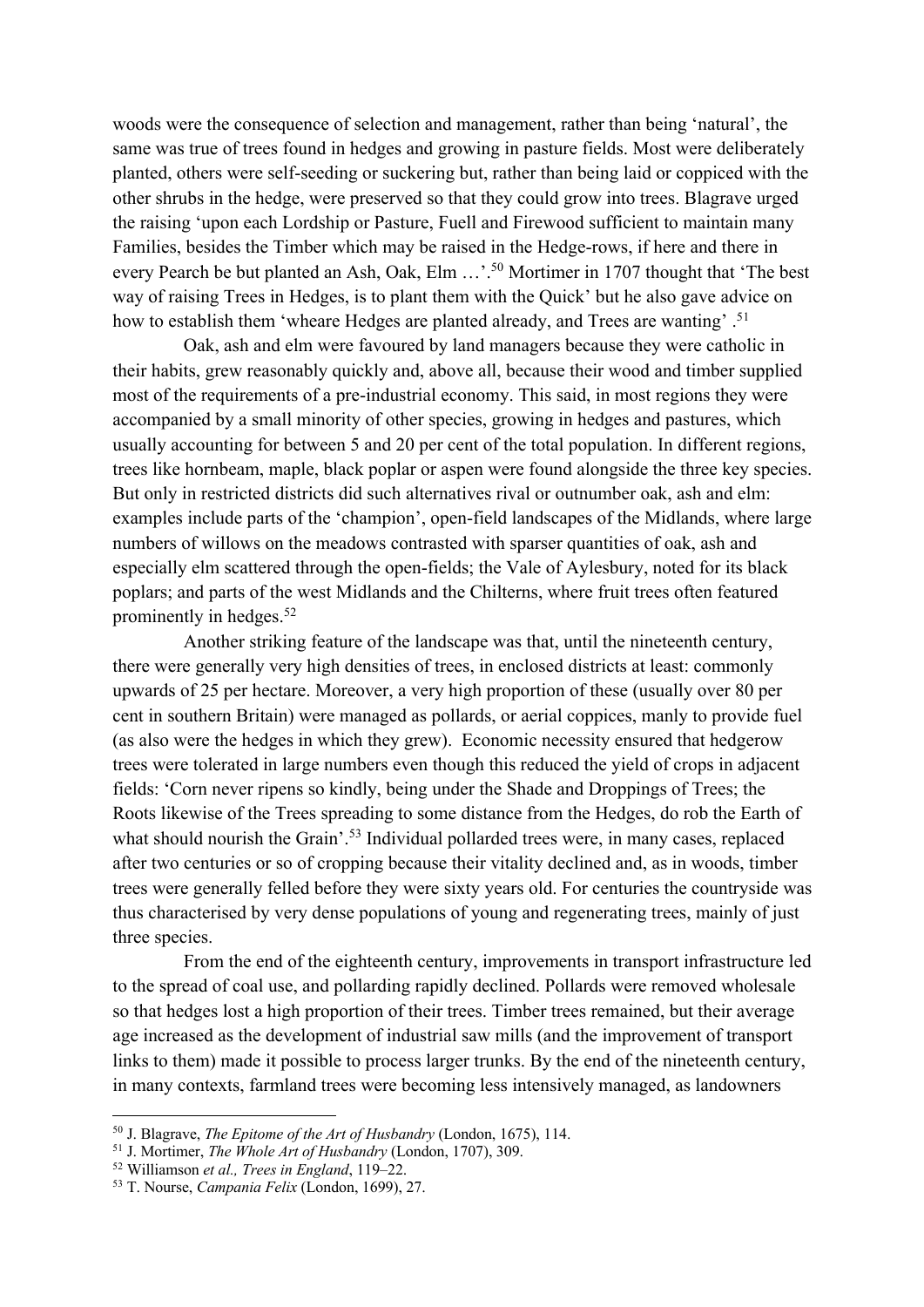woods were the consequence of selection and management, rather than being 'natural', the same was true of trees found in hedges and growing in pasture fields. Most were deliberately planted, others were self-seeding or suckering but, rather than being laid or coppiced with the other shrubs in the hedge, were preserved so that they could grow into trees. Blagrave urged the raising 'upon each Lordship or Pasture, Fuell and Firewood sufficient to maintain many Families, besides the Timber which may be raised in the Hedge-rows, if here and there in every Pearch be but planted an Ash, Oak, Elm ...'.<sup>50</sup> Mortimer in 1707 thought that 'The best way of raising Trees in Hedges, is to plant them with the Quick' but he also gave advice on how to establish them 'wheare Hedges are planted already, and Trees are wanting'.<sup>51</sup>

Oak, ash and elm were favoured by land managers because they were catholic in their habits, grew reasonably quickly and, above all, because their wood and timber supplied most of the requirements of a pre-industrial economy. This said, in most regions they were accompanied by a small minority of other species, growing in hedges and pastures, which usually accounting for between 5 and 20 per cent of the total population. In different regions, trees like hornbeam, maple, black poplar or aspen were found alongside the three key species. But only in restricted districts did such alternatives rival or outnumber oak, ash and elm: examples include parts of the 'champion', open-field landscapes of the Midlands, where large numbers of willows on the meadows contrasted with sparser quantities of oak, ash and especially elm scattered through the open-fields; the Vale of Aylesbury, noted for its black poplars; and parts of the west Midlands and the Chilterns, where fruit trees often featured prominently in hedges.52

Another striking feature of the landscape was that, until the nineteenth century, there were generally very high densities of trees, in enclosed districts at least: commonly upwards of 25 per hectare. Moreover, a very high proportion of these (usually over 80 per cent in southern Britain) were managed as pollards, or aerial coppices, manly to provide fuel (as also were the hedges in which they grew). Economic necessity ensured that hedgerow trees were tolerated in large numbers even though this reduced the yield of crops in adjacent fields: 'Corn never ripens so kindly, being under the Shade and Droppings of Trees; the Roots likewise of the Trees spreading to some distance from the Hedges, do rob the Earth of what should nourish the Grain'.<sup>53</sup> Individual pollarded trees were, in many cases, replaced after two centuries or so of cropping because their vitality declined and, as in woods, timber trees were generally felled before they were sixty years old. For centuries the countryside was thus characterised by very dense populations of young and regenerating trees, mainly of just three species.

From the end of the eighteenth century, improvements in transport infrastructure led to the spread of coal use, and pollarding rapidly declined. Pollards were removed wholesale so that hedges lost a high proportion of their trees. Timber trees remained, but their average age increased as the development of industrial saw mills (and the improvement of transport links to them) made it possible to process larger trunks. By the end of the nineteenth century, in many contexts, farmland trees were becoming less intensively managed, as landowners

 <sup>50</sup> J. Blagrave, *The Epitome of the Art of Husbandry* (London, 1675), 114.

<sup>51</sup> J. Mortimer, *The Whole Art of Husbandry* (London, 1707), 309.

<sup>52</sup> Williamson *et al., Trees in England*, 119–22.

<sup>53</sup> T. Nourse, *Campania Felix* (London, 1699), 27.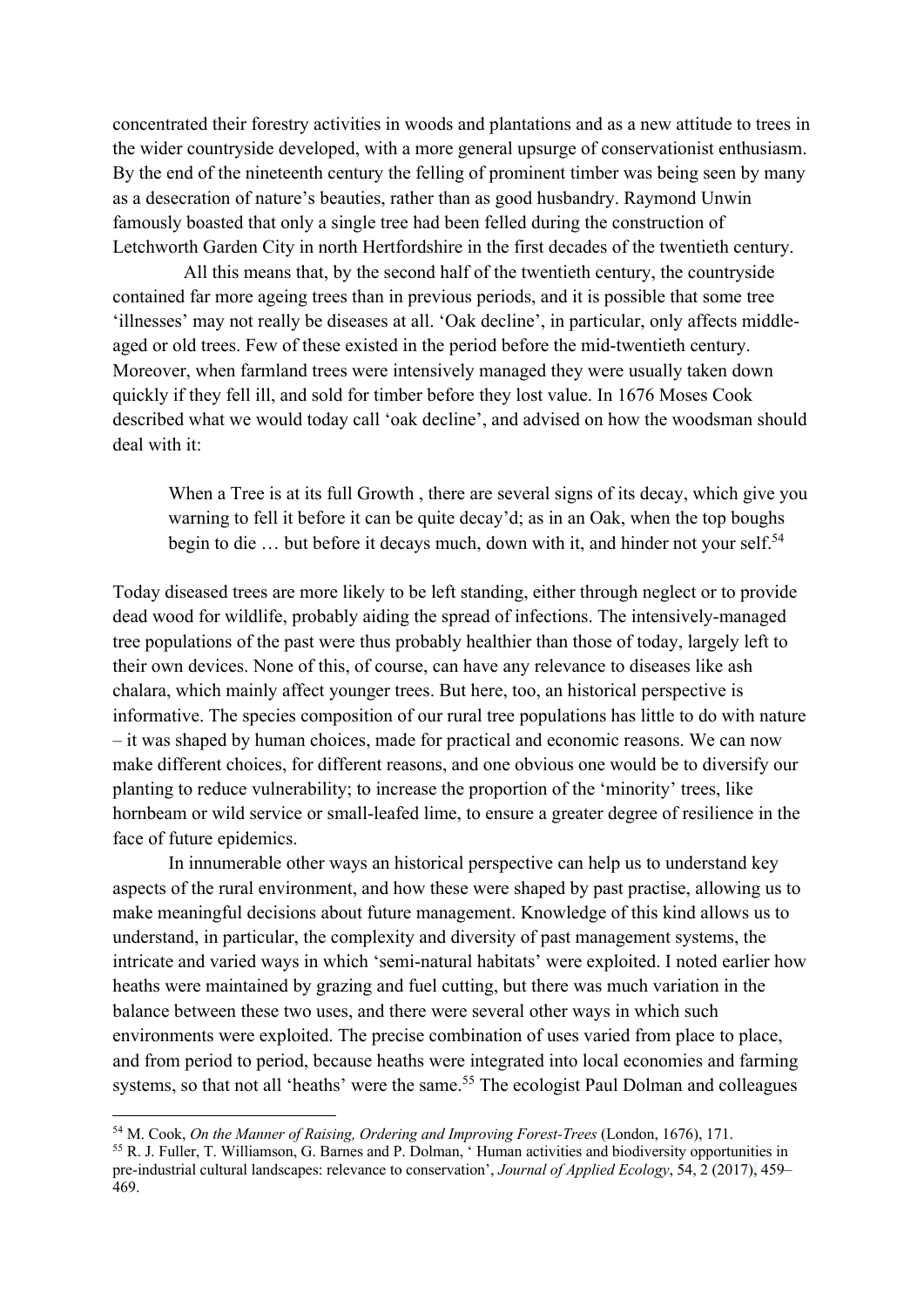concentrated their forestry activities in woods and plantations and as a new attitude to trees in the wider countryside developed, with a more general upsurge of conservationist enthusiasm. By the end of the nineteenth century the felling of prominent timber was being seen by many as a desecration of nature's beauties, rather than as good husbandry. Raymond Unwin famously boasted that only a single tree had been felled during the construction of Letchworth Garden City in north Hertfordshire in the first decades of the twentieth century.

All this means that, by the second half of the twentieth century, the countryside contained far more ageing trees than in previous periods, and it is possible that some tree 'illnesses' may not really be diseases at all. 'Oak decline', in particular, only affects middleaged or old trees. Few of these existed in the period before the mid-twentieth century. Moreover, when farmland trees were intensively managed they were usually taken down quickly if they fell ill, and sold for timber before they lost value. In 1676 Moses Cook described what we would today call 'oak decline', and advised on how the woodsman should deal with it:

When a Tree is at its full Growth , there are several signs of its decay, which give you warning to fell it before it can be quite decay'd; as in an Oak, when the top boughs begin to die ... but before it decays much, down with it, and hinder not your self.<sup>54</sup>

Today diseased trees are more likely to be left standing, either through neglect or to provide dead wood for wildlife, probably aiding the spread of infections. The intensively-managed tree populations of the past were thus probably healthier than those of today, largely left to their own devices. None of this, of course, can have any relevance to diseases like ash chalara, which mainly affect younger trees. But here, too, an historical perspective is informative. The species composition of our rural tree populations has little to do with nature – it was shaped by human choices, made for practical and economic reasons. We can now make different choices, for different reasons, and one obvious one would be to diversify our planting to reduce vulnerability; to increase the proportion of the 'minority' trees, like hornbeam or wild service or small-leafed lime, to ensure a greater degree of resilience in the face of future epidemics.

In innumerable other ways an historical perspective can help us to understand key aspects of the rural environment, and how these were shaped by past practise, allowing us to make meaningful decisions about future management. Knowledge of this kind allows us to understand, in particular, the complexity and diversity of past management systems, the intricate and varied ways in which 'semi-natural habitats' were exploited. I noted earlier how heaths were maintained by grazing and fuel cutting, but there was much variation in the balance between these two uses, and there were several other ways in which such environments were exploited. The precise combination of uses varied from place to place, and from period to period, because heaths were integrated into local economies and farming systems, so that not all 'heaths' were the same.<sup>55</sup> The ecologist Paul Dolman and colleagues

 <sup>54</sup> M. Cook, *On the Manner of Raising, Ordering and Improving Forest-Trees* (London, 1676), 171.

<sup>&</sup>lt;sup>55</sup> R. J. Fuller, T. Williamson, G. Barnes and P. Dolman, 'Human activities and biodiversity opportunities in pre-industrial cultural landscapes: relevance to conservation', *Journal of Applied Ecology*, 54, 2 (2017), 459– 469.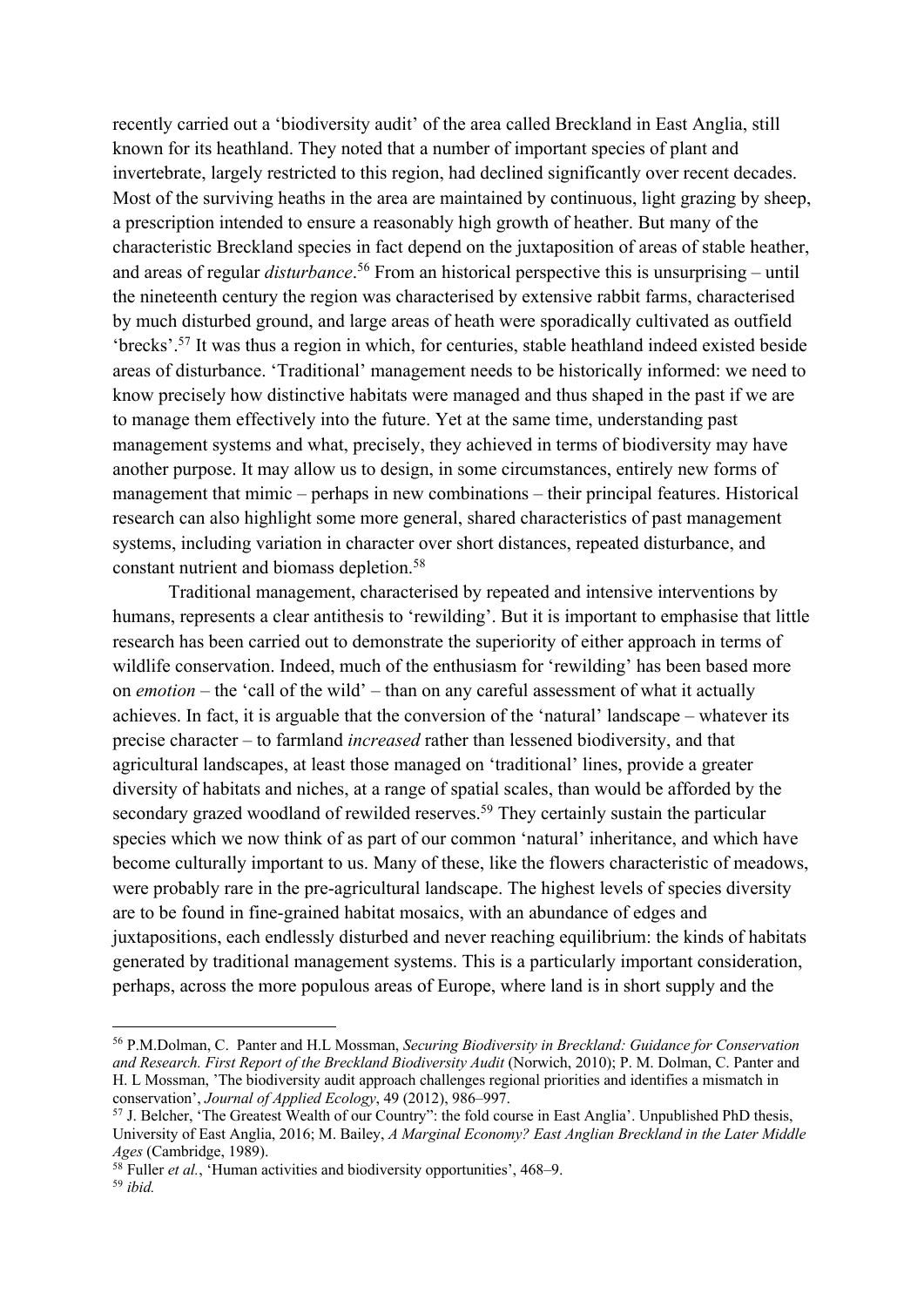recently carried out a 'biodiversity audit' of the area called Breckland in East Anglia, still known for its heathland. They noted that a number of important species of plant and invertebrate, largely restricted to this region, had declined significantly over recent decades. Most of the surviving heaths in the area are maintained by continuous, light grazing by sheep, a prescription intended to ensure a reasonably high growth of heather. But many of the characteristic Breckland species in fact depend on the juxtaposition of areas of stable heather, and areas of regular *disturbance*. <sup>56</sup> From an historical perspective this is unsurprising – until the nineteenth century the region was characterised by extensive rabbit farms, characterised by much disturbed ground, and large areas of heath were sporadically cultivated as outfield 'brecks'.57 It was thus a region in which, for centuries, stable heathland indeed existed beside areas of disturbance. 'Traditional' management needs to be historically informed: we need to know precisely how distinctive habitats were managed and thus shaped in the past if we are to manage them effectively into the future. Yet at the same time, understanding past management systems and what, precisely, they achieved in terms of biodiversity may have another purpose. It may allow us to design, in some circumstances, entirely new forms of management that mimic – perhaps in new combinations – their principal features. Historical research can also highlight some more general, shared characteristics of past management systems, including variation in character over short distances, repeated disturbance, and constant nutrient and biomass depletion.58

Traditional management, characterised by repeated and intensive interventions by humans, represents a clear antithesis to 'rewilding'. But it is important to emphasise that little research has been carried out to demonstrate the superiority of either approach in terms of wildlife conservation. Indeed, much of the enthusiasm for 'rewilding' has been based more on *emotion* – the 'call of the wild' – than on any careful assessment of what it actually achieves. In fact, it is arguable that the conversion of the 'natural' landscape – whatever its precise character – to farmland *increased* rather than lessened biodiversity, and that agricultural landscapes, at least those managed on 'traditional' lines, provide a greater diversity of habitats and niches, at a range of spatial scales, than would be afforded by the secondary grazed woodland of rewilded reserves.<sup>59</sup> They certainly sustain the particular species which we now think of as part of our common 'natural' inheritance, and which have become culturally important to us. Many of these, like the flowers characteristic of meadows, were probably rare in the pre-agricultural landscape. The highest levels of species diversity are to be found in fine-grained habitat mosaics, with an abundance of edges and juxtapositions, each endlessly disturbed and never reaching equilibrium: the kinds of habitats generated by traditional management systems. This is a particularly important consideration, perhaps, across the more populous areas of Europe, where land is in short supply and the

 <sup>56</sup> P.M.Dolman, C. Panter and H.L Mossman, *Securing Biodiversity in Breckland: Guidance for Conservation and Research. First Report of the Breckland Biodiversity Audit* (Norwich, 2010); P. M. Dolman, C. Panter and H. L Mossman, 'The biodiversity audit approach challenges regional priorities and identifies a mismatch in conservation', *Journal of Applied Ecology*, 49 (2012), 986–997.

<sup>&</sup>lt;sup>57</sup> J. Belcher, 'The Greatest Wealth of our Country": the fold course in East Anglia'. Unpublished PhD thesis, University of East Anglia, 2016; M. Bailey, *A Marginal Economy? East Anglian Breckland in the Later Middle Ages* (Cambridge, 1989).

<sup>58</sup> Fuller *et al.*, 'Human activities and biodiversity opportunities', 468–9.

<sup>59</sup> *ibid.*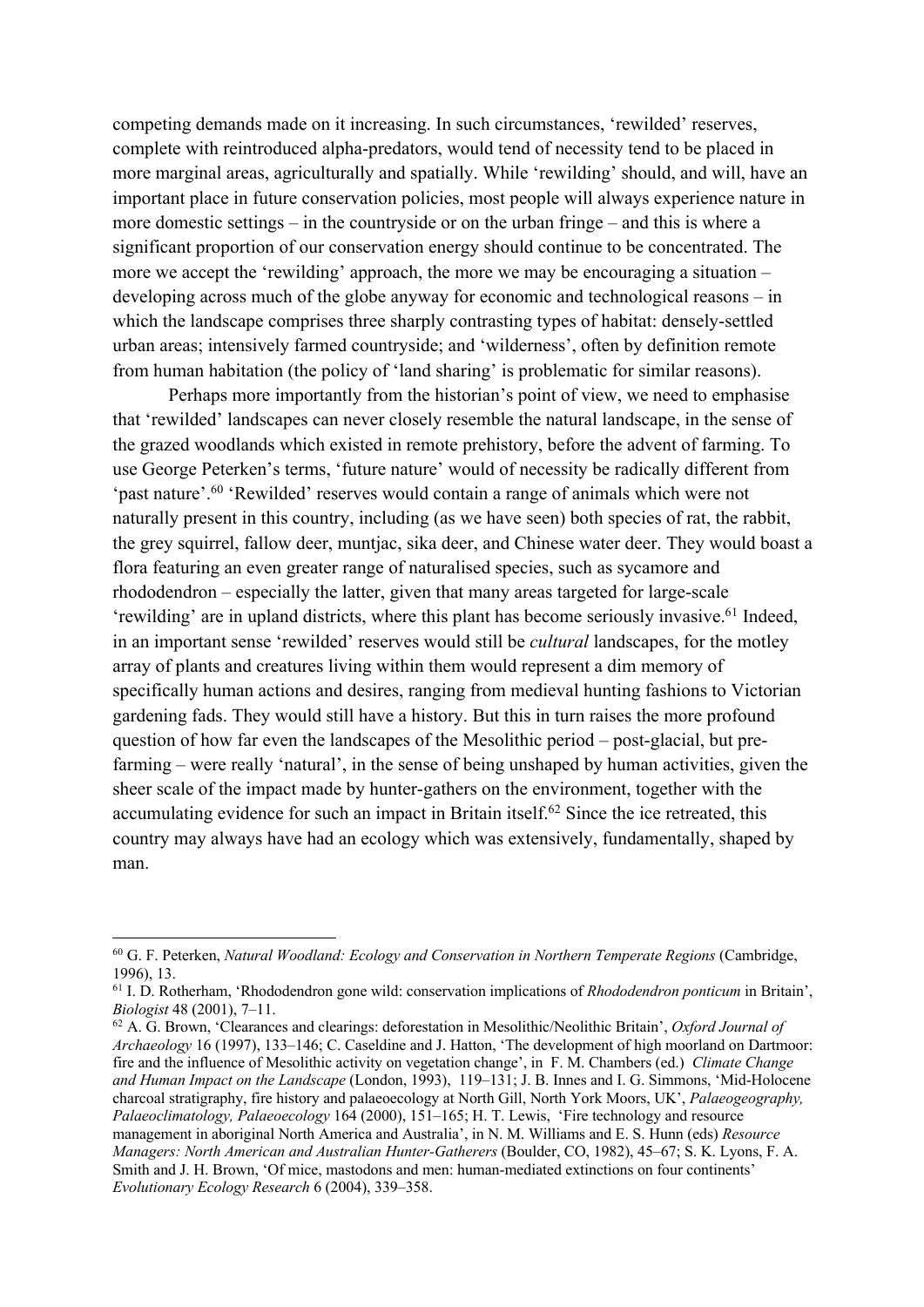competing demands made on it increasing. In such circumstances, 'rewilded' reserves, complete with reintroduced alpha-predators, would tend of necessity tend to be placed in more marginal areas, agriculturally and spatially. While 'rewilding' should, and will, have an important place in future conservation policies, most people will always experience nature in more domestic settings – in the countryside or on the urban fringe – and this is where a significant proportion of our conservation energy should continue to be concentrated. The more we accept the 'rewilding' approach, the more we may be encouraging a situation – developing across much of the globe anyway for economic and technological reasons – in which the landscape comprises three sharply contrasting types of habitat: densely-settled urban areas; intensively farmed countryside; and 'wilderness', often by definition remote from human habitation (the policy of 'land sharing' is problematic for similar reasons).

Perhaps more importantly from the historian's point of view, we need to emphasise that 'rewilded' landscapes can never closely resemble the natural landscape, in the sense of the grazed woodlands which existed in remote prehistory, before the advent of farming. To use George Peterken's terms, 'future nature' would of necessity be radically different from 'past nature'.<sup>60</sup> 'Rewilded' reserves would contain a range of animals which were not naturally present in this country, including (as we have seen) both species of rat, the rabbit, the grey squirrel, fallow deer, muntjac, sika deer, and Chinese water deer. They would boast a flora featuring an even greater range of naturalised species, such as sycamore and rhododendron – especially the latter, given that many areas targeted for large-scale 'rewilding' are in upland districts, where this plant has become seriously invasive.<sup>61</sup> Indeed, in an important sense 'rewilded' reserves would still be *cultural* landscapes, for the motley array of plants and creatures living within them would represent a dim memory of specifically human actions and desires, ranging from medieval hunting fashions to Victorian gardening fads. They would still have a history. But this in turn raises the more profound question of how far even the landscapes of the Mesolithic period – post-glacial, but prefarming – were really 'natural', in the sense of being unshaped by human activities, given the sheer scale of the impact made by hunter-gathers on the environment, together with the accumulating evidence for such an impact in Britain itself.<sup>62</sup> Since the ice retreated, this country may always have had an ecology which was extensively, fundamentally, shaped by man.

 <sup>60</sup> G. F. Peterken, *Natural Woodland: Ecology and Conservation in Northern Temperate Regions* (Cambridge, 1996), 13.

<sup>61</sup> I. D. Rotherham, 'Rhododendron gone wild: conservation implications of *Rhododendron ponticum* in Britain', *Biologist* 48 (2001), 7–11.

<sup>62</sup> A. G. Brown, 'Clearances and clearings: deforestation in Mesolithic/Neolithic Britain', *Oxford Journal of Archaeology* 16 (1997), 133–146; C. Caseldine and J. Hatton, 'The development of high moorland on Dartmoor: fire and the influence of Mesolithic activity on vegetation change', in F. M. Chambers (ed.) *Climate Change and Human Impact on the Landscape* (London, 1993), 119–131; J. B. Innes and I. G. Simmons, 'Mid-Holocene charcoal stratigraphy, fire history and palaeoecology at North Gill, North York Moors, UK', *Palaeogeography, Palaeoclimatology, Palaeoecology* 164 (2000), 151–165; H. T. Lewis, 'Fire technology and resource management in aboriginal North America and Australia', in N. M. Williams and E. S. Hunn (eds) *Resource Managers: North American and Australian Hunter-Gatherers* (Boulder, CO, 1982), 45–67; S. K. Lyons, F. A. Smith and J. H. Brown, 'Of mice, mastodons and men: human-mediated extinctions on four continents' *Evolutionary Ecology Research* 6 (2004), 339–358.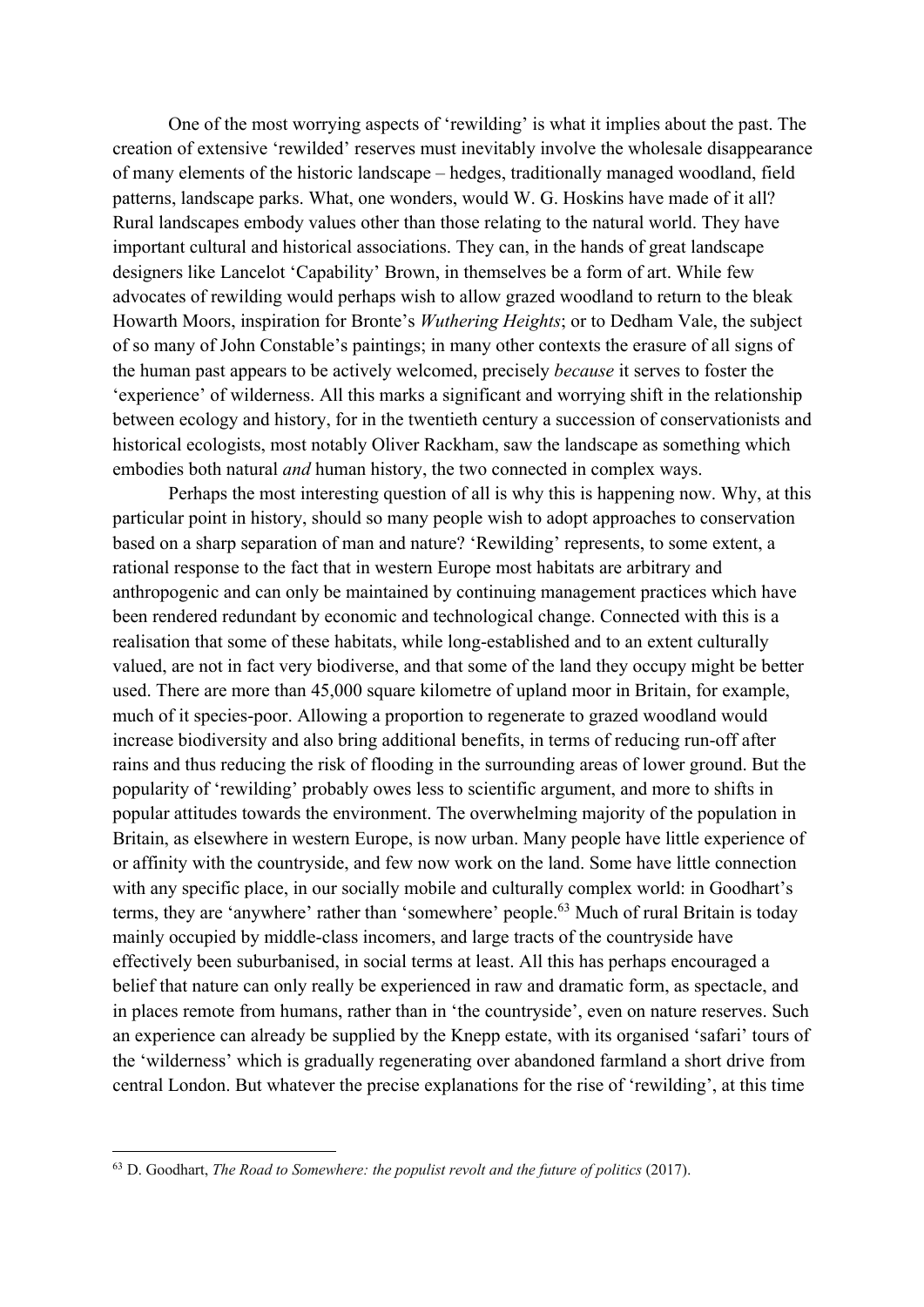One of the most worrying aspects of 'rewilding' is what it implies about the past. The creation of extensive 'rewilded' reserves must inevitably involve the wholesale disappearance of many elements of the historic landscape – hedges, traditionally managed woodland, field patterns, landscape parks. What, one wonders, would W. G. Hoskins have made of it all? Rural landscapes embody values other than those relating to the natural world. They have important cultural and historical associations. They can, in the hands of great landscape designers like Lancelot 'Capability' Brown, in themselves be a form of art. While few advocates of rewilding would perhaps wish to allow grazed woodland to return to the bleak Howarth Moors, inspiration for Bronte's *Wuthering Heights*; or to Dedham Vale, the subject of so many of John Constable's paintings; in many other contexts the erasure of all signs of the human past appears to be actively welcomed, precisely *because* it serves to foster the 'experience' of wilderness. All this marks a significant and worrying shift in the relationship between ecology and history, for in the twentieth century a succession of conservationists and historical ecologists, most notably Oliver Rackham, saw the landscape as something which embodies both natural *and* human history, the two connected in complex ways.

Perhaps the most interesting question of all is why this is happening now. Why, at this particular point in history, should so many people wish to adopt approaches to conservation based on a sharp separation of man and nature? 'Rewilding' represents, to some extent, a rational response to the fact that in western Europe most habitats are arbitrary and anthropogenic and can only be maintained by continuing management practices which have been rendered redundant by economic and technological change. Connected with this is a realisation that some of these habitats, while long-established and to an extent culturally valued, are not in fact very biodiverse, and that some of the land they occupy might be better used. There are more than 45,000 square kilometre of upland moor in Britain, for example, much of it species-poor. Allowing a proportion to regenerate to grazed woodland would increase biodiversity and also bring additional benefits, in terms of reducing run-off after rains and thus reducing the risk of flooding in the surrounding areas of lower ground. But the popularity of 'rewilding' probably owes less to scientific argument, and more to shifts in popular attitudes towards the environment. The overwhelming majority of the population in Britain, as elsewhere in western Europe, is now urban. Many people have little experience of or affinity with the countryside, and few now work on the land. Some have little connection with any specific place, in our socially mobile and culturally complex world: in Goodhart's terms, they are 'anywhere' rather than 'somewhere' people.63 Much of rural Britain is today mainly occupied by middle-class incomers, and large tracts of the countryside have effectively been suburbanised, in social terms at least. All this has perhaps encouraged a belief that nature can only really be experienced in raw and dramatic form, as spectacle, and in places remote from humans, rather than in 'the countryside', even on nature reserves. Such an experience can already be supplied by the Knepp estate, with its organised 'safari' tours of the 'wilderness' which is gradually regenerating over abandoned farmland a short drive from central London. But whatever the precise explanations for the rise of 'rewilding', at this time

 <sup>63</sup> D. Goodhart, *The Road to Somewhere: the populist revolt and the future of politics* (2017).